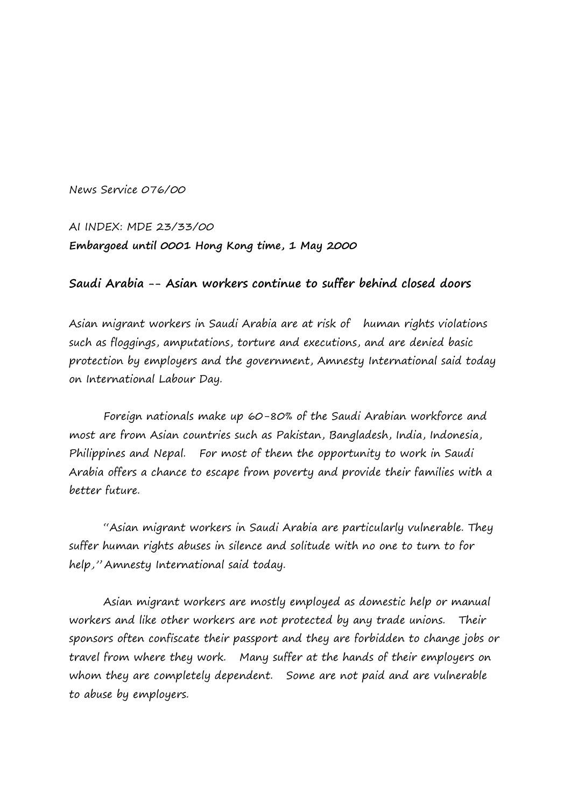News Service 076/00

AI INDEX: MDE 23/33/00 **Embargoed until 0001 Hong Kong time, 1 May 2000**

## **Saudi Arabia -- Asian workers continue to suffer behind closed doors**

Asian migrant workers in Saudi Arabia are at risk of human rights violations such as floggings, amputations, torture and executions, and are denied basic protection by employers and the government, Amnesty International said today on International Labour Day.

Foreign nationals make up 60-80% of the Saudi Arabian workforce and most are from Asian countries such as Pakistan, Bangladesh, India, Indonesia, Philippines and Nepal. For most of them the opportunity to work in Saudi Arabia offers a chance to escape from poverty and provide their families with a better future.

"Asian migrant workers in Saudi Arabia are particularly vulnerable. They suffer human rights abuses in silence and solitude with no one to turn to for help," Amnesty International said today.

Asian migrant workers are mostly employed as domestic help or manual workers and like other workers are not protected by any trade unions. Their sponsors often confiscate their passport and they are forbidden to change jobs or travel from where they work. Many suffer at the hands of their employers on whom they are completely dependent. Some are not paid and are vulnerable to abuse by employers.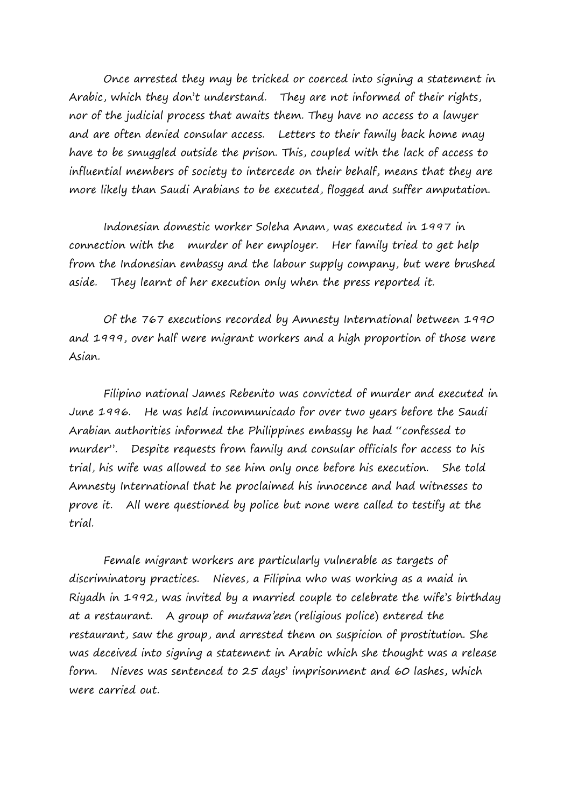Once arrested they may be tricked or coerced into signing a statement in Arabic, which they don't understand. They are not informed of their rights, nor of the judicial process that awaits them. They have no access to a lawyer and are often denied consular access. Letters to their family back home may have to be smuggled outside the prison. This, coupled with the lack of access to influential members of society to intercede on their behalf, means that they are more likely than Saudi Arabians to be executed, flogged and suffer amputation.

Indonesian domestic worker Soleha Anam, was executed in 1997 in connection with the murder of her employer. Her family tried to get help from the Indonesian embassy and the labour supply company, but were brushed aside. They learnt of her execution only when the press reported it.

Of the 767 executions recorded by Amnesty International between 1990 and 1999, over half were migrant workers and a high proportion of those were Asian.

Filipino national James Rebenito was convicted of murder and executed in June 1996. He was held incommunicado for over two years before the Saudi Arabian authorities informed the Philippines embassy he had "confessed to murder". Despite requests from family and consular officials for access to his trial, his wife was allowed to see him only once before his execution. She told Amnesty International that he proclaimed his innocence and had witnesses to prove it. All were questioned by police but none were called to testify at the trial.

Female migrant workers are particularly vulnerable as targets of discriminatory practices. Nieves, a Filipina who was working as a maid in Riyadh in 1992, was invited by a married couple to celebrate the wife's birthday at a restaurant. A group of mutawa'een (religious police) entered the restaurant, saw the group, and arrested them on suspicion of prostitution. She was deceived into signing a statement in Arabic which she thought was a release form. Nieves was sentenced to 25 days' imprisonment and 60 lashes, which were carried out.